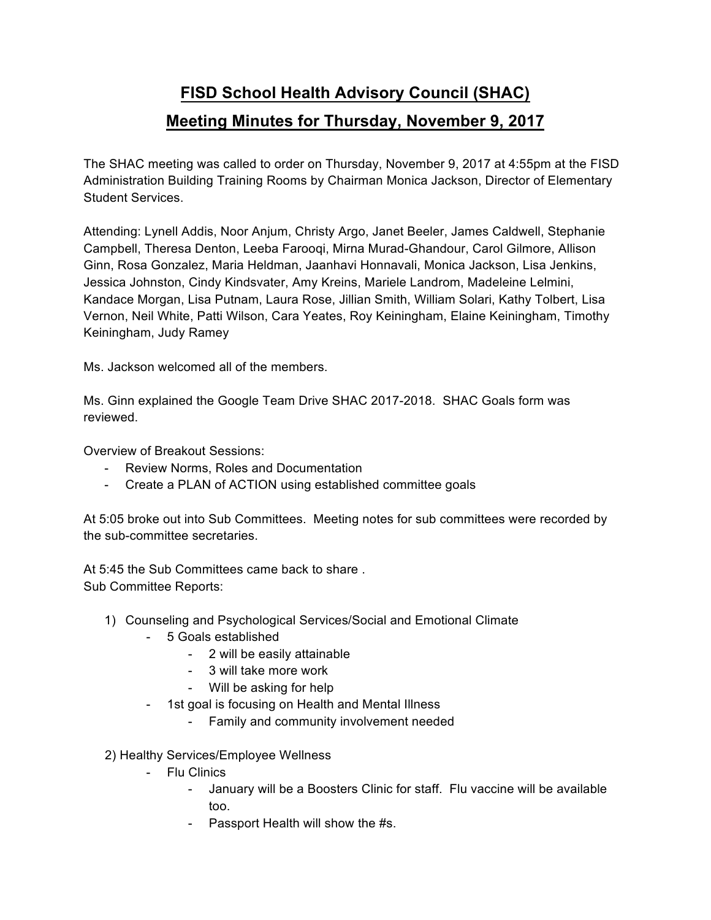## **FISD School Health Advisory Council (SHAC) Meeting Minutes for Thursday, November 9, 2017**

The SHAC meeting was called to order on Thursday, November 9, 2017 at 4:55pm at the FISD Administration Building Training Rooms by Chairman Monica Jackson, Director of Elementary Student Services.

Attending: Lynell Addis, Noor Anjum, Christy Argo, Janet Beeler, James Caldwell, Stephanie Campbell, Theresa Denton, Leeba Farooqi, Mirna Murad-Ghandour, Carol Gilmore, Allison Ginn, Rosa Gonzalez, Maria Heldman, Jaanhavi Honnavali, Monica Jackson, Lisa Jenkins, Jessica Johnston, Cindy Kindsvater, Amy Kreins, Mariele Landrom, Madeleine Lelmini, Kandace Morgan, Lisa Putnam, Laura Rose, Jillian Smith, William Solari, Kathy Tolbert, Lisa Vernon, Neil White, Patti Wilson, Cara Yeates, Roy Keiningham, Elaine Keiningham, Timothy Keiningham, Judy Ramey

Ms. Jackson welcomed all of the members.

Ms. Ginn explained the Google Team Drive SHAC 2017-2018. SHAC Goals form was reviewed.

Overview of Breakout Sessions:

- Review Norms, Roles and Documentation
- Create a PLAN of ACTION using established committee goals

At 5:05 broke out into Sub Committees. Meeting notes for sub committees were recorded by the sub-committee secretaries.

At 5:45 the Sub Committees came back to share . Sub Committee Reports:

- 1) Counseling and Psychological Services/Social and Emotional Climate
	- 5 Goals established
		- 2 will be easily attainable
		- 3 will take more work
		- Will be asking for help
	- 1st goal is focusing on Health and Mental Illness
		- Family and community involvement needed

2) Healthy Services/Employee Wellness

- Flu Clinics
	- January will be a Boosters Clinic for staff. Flu vaccine will be available too.
	- Passport Health will show the #s.